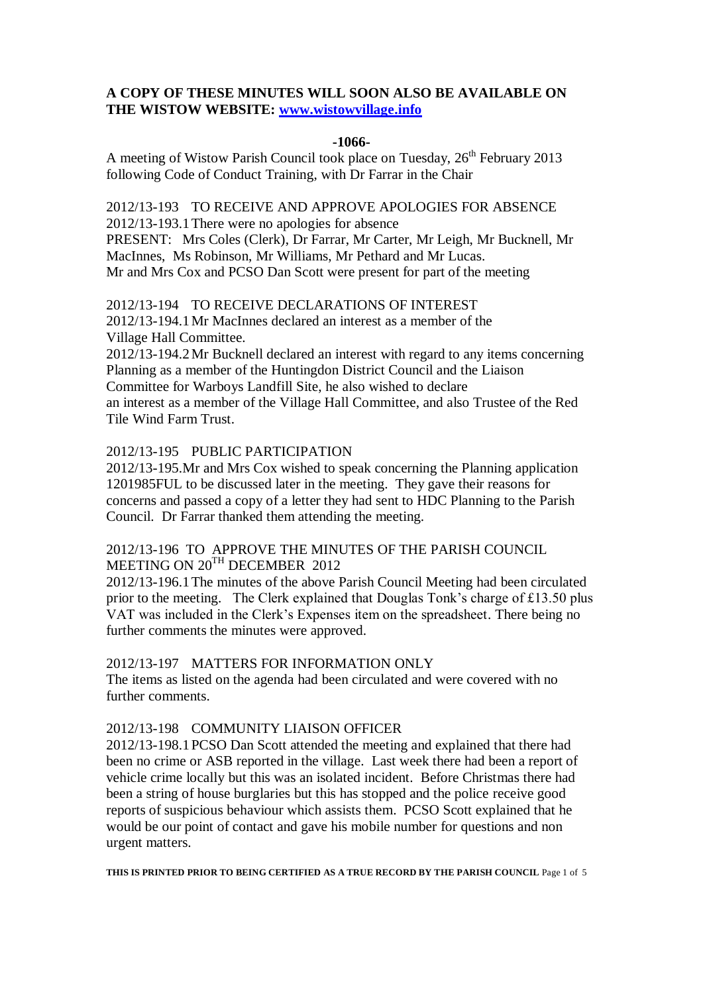## **A COPY OF THESE MINUTES WILL SOON ALSO BE AVAILABLE ON THE WISTOW WEBSITE: [www.wistowvillage.info](http://www.wistowvillage.info/)**

#### **-1066-**

A meeting of Wistow Parish Council took place on Tuesday,  $26<sup>th</sup>$  February 2013 following Code of Conduct Training, with Dr Farrar in the Chair

2012/13-193 TO RECEIVE AND APPROVE APOLOGIES FOR ABSENCE 2012/13-193.1There were no apologies for absence PRESENT: Mrs Coles (Clerk), Dr Farrar, Mr Carter, Mr Leigh, Mr Bucknell, Mr MacInnes, Ms Robinson, Mr Williams, Mr Pethard and Mr Lucas. Mr and Mrs Cox and PCSO Dan Scott were present for part of the meeting

2012/13-194 TO RECEIVE DECLARATIONS OF INTEREST 2012/13-194.1Mr MacInnes declared an interest as a member of the Village Hall Committee.

2012/13-194.2Mr Bucknell declared an interest with regard to any items concerning Planning as a member of the Huntingdon District Council and the Liaison Committee for Warboys Landfill Site, he also wished to declare an interest as a member of the Village Hall Committee, and also Trustee of the Red Tile Wind Farm Trust.

#### 2012/13-195 PUBLIC PARTICIPATION

2012/13-195.Mr and Mrs Cox wished to speak concerning the Planning application 1201985FUL to be discussed later in the meeting. They gave their reasons for concerns and passed a copy of a letter they had sent to HDC Planning to the Parish Council. Dr Farrar thanked them attending the meeting.

## 2012/13-196 TO APPROVE THE MINUTES OF THE PARISH COUNCIL MEETING ON 20<sup>TH</sup> DECEMBER 2012

2012/13-196.1The minutes of the above Parish Council Meeting had been circulated prior to the meeting. The Clerk explained that Douglas Tonk's charge of £13.50 plus VAT was included in the Clerk's Expenses item on the spreadsheet. There being no further comments the minutes were approved.

#### 2012/13-197 MATTERS FOR INFORMATION ONLY

The items as listed on the agenda had been circulated and were covered with no further comments.

#### 2012/13-198 COMMUNITY LIAISON OFFICER

2012/13-198.1PCSO Dan Scott attended the meeting and explained that there had been no crime or ASB reported in the village. Last week there had been a report of vehicle crime locally but this was an isolated incident. Before Christmas there had been a string of house burglaries but this has stopped and the police receive good reports of suspicious behaviour which assists them. PCSO Scott explained that he would be our point of contact and gave his mobile number for questions and non urgent matters.

**THIS IS PRINTED PRIOR TO BEING CERTIFIED AS A TRUE RECORD BY THE PARISH COUNCIL** Page 1 of 5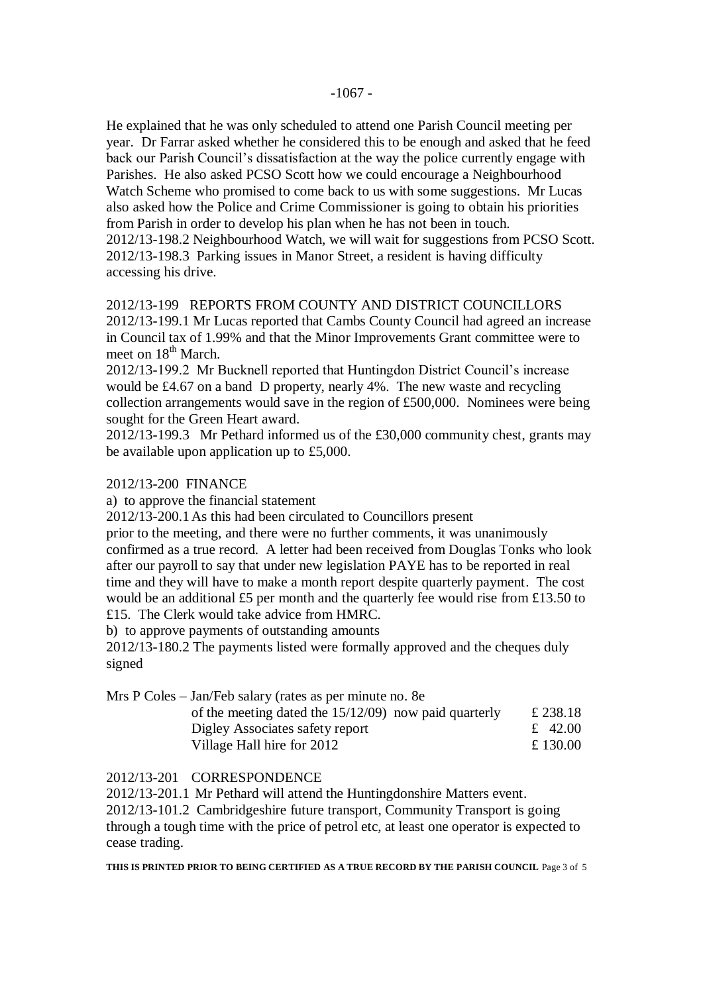He explained that he was only scheduled to attend one Parish Council meeting per year. Dr Farrar asked whether he considered this to be enough and asked that he feed back our Parish Council's dissatisfaction at the way the police currently engage with Parishes. He also asked PCSO Scott how we could encourage a Neighbourhood Watch Scheme who promised to come back to us with some suggestions. Mr Lucas also asked how the Police and Crime Commissioner is going to obtain his priorities from Parish in order to develop his plan when he has not been in touch. 2012/13-198.2 Neighbourhood Watch, we will wait for suggestions from PCSO Scott. 2012/13-198.3 Parking issues in Manor Street, a resident is having difficulty accessing his drive.

2012/13-199 REPORTS FROM COUNTY AND DISTRICT COUNCILLORS 2012/13-199.1 Mr Lucas reported that Cambs County Council had agreed an increase in Council tax of 1.99% and that the Minor Improvements Grant committee were to meet on 18<sup>th</sup> March.

2012/13-199.2 Mr Bucknell reported that Huntingdon District Council's increase would be £4.67 on a band D property, nearly 4%. The new waste and recycling collection arrangements would save in the region of £500,000. Nominees were being sought for the Green Heart award.

2012/13-199.3 Mr Pethard informed us of the £30,000 community chest, grants may be available upon application up to £5,000.

#### 2012/13-200 FINANCE

a) to approve the financial statement

2012/13-200.1As this had been circulated to Councillors present

prior to the meeting, and there were no further comments, it was unanimously confirmed as a true record. A letter had been received from Douglas Tonks who look after our payroll to say that under new legislation PAYE has to be reported in real time and they will have to make a month report despite quarterly payment. The cost would be an additional £5 per month and the quarterly fee would rise from £13.50 to £15. The Clerk would take advice from HMRC.

b) to approve payments of outstanding amounts

2012/13-180.2 The payments listed were formally approved and the cheques duly signed

| Mrs P Coles – Jan/Feb salary (rates as per minute no. 8e |          |
|----------------------------------------------------------|----------|
| of the meeting dated the $15/12/09$ now paid quarterly   | £ 238.18 |
| Digley Associates safety report                          | £ 42.00  |
| Village Hall hire for 2012                               | £ 130.00 |

#### 2012/13-201 CORRESPONDENCE

2012/13-201.1 Mr Pethard will attend the Huntingdonshire Matters event.

2012/13-101.2 Cambridgeshire future transport, Community Transport is going through a tough time with the price of petrol etc, at least one operator is expected to cease trading.

**THIS IS PRINTED PRIOR TO BEING CERTIFIED AS A TRUE RECORD BY THE PARISH COUNCIL** Page 3 of 5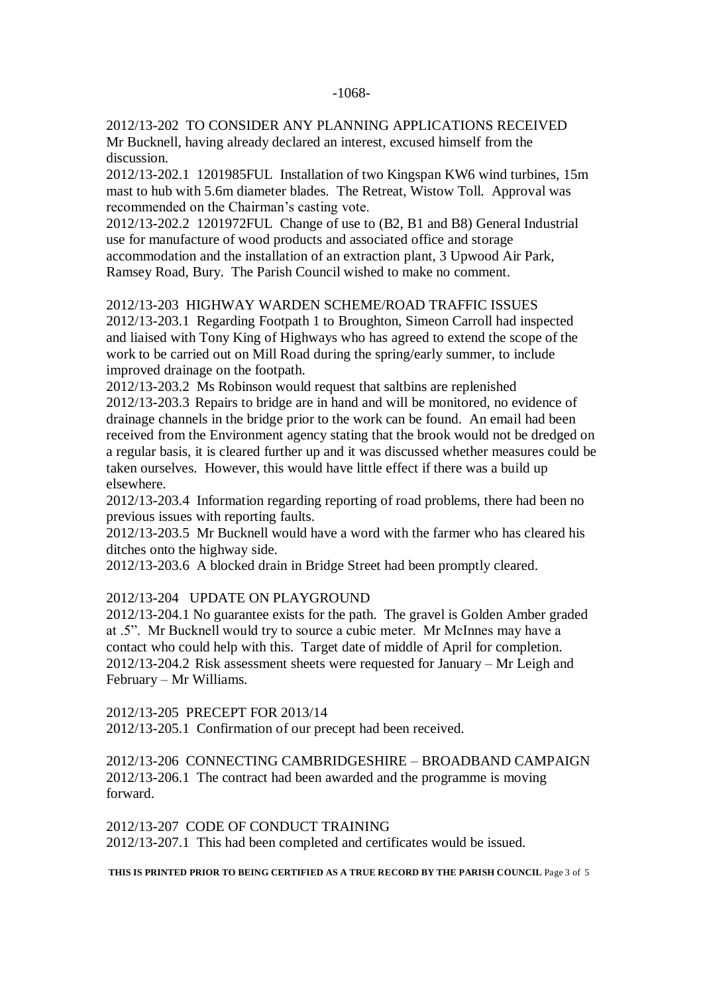#### -1068-

## 2012/13-202 TO CONSIDER ANY PLANNING APPLICATIONS RECEIVED

Mr Bucknell, having already declared an interest, excused himself from the discussion.

2012/13-202.1 1201985FUL Installation of two Kingspan KW6 wind turbines, 15m mast to hub with 5.6m diameter blades. The Retreat, Wistow Toll. Approval was recommended on the Chairman's casting vote.

2012/13-202.2 1201972FUL Change of use to (B2, B1 and B8) General Industrial use for manufacture of wood products and associated office and storage accommodation and the installation of an extraction plant, 3 Upwood Air Park, Ramsey Road, Bury. The Parish Council wished to make no comment.

2012/13-203 HIGHWAY WARDEN SCHEME/ROAD TRAFFIC ISSUES

2012/13-203.1 Regarding Footpath 1 to Broughton, Simeon Carroll had inspected and liaised with Tony King of Highways who has agreed to extend the scope of the work to be carried out on Mill Road during the spring/early summer, to include improved drainage on the footpath.

2012/13-203.2 Ms Robinson would request that saltbins are replenished 2012/13-203.3 Repairs to bridge are in hand and will be monitored, no evidence of drainage channels in the bridge prior to the work can be found. An email had been received from the Environment agency stating that the brook would not be dredged on a regular basis, it is cleared further up and it was discussed whether measures could be taken ourselves. However, this would have little effect if there was a build up elsewhere.

2012/13-203.4 Information regarding reporting of road problems, there had been no previous issues with reporting faults.

2012/13-203.5 Mr Bucknell would have a word with the farmer who has cleared his ditches onto the highway side.

2012/13-203.6 A blocked drain in Bridge Street had been promptly cleared.

#### 2012/13-204 UPDATE ON PLAYGROUND

2012/13-204.1 No guarantee exists for the path. The gravel is Golden Amber graded at .5". Mr Bucknell would try to source a cubic meter. Mr McInnes may have a contact who could help with this. Target date of middle of April for completion. 2012/13-204.2 Risk assessment sheets were requested for January – Mr Leigh and February – Mr Williams.

2012/13-205 PRECEPT FOR 2013/14

2012/13-205.1 Confirmation of our precept had been received.

2012/13-206 CONNECTING CAMBRIDGESHIRE – BROADBAND CAMPAIGN 2012/13-206.1 The contract had been awarded and the programme is moving forward.

2012/13-207 CODE OF CONDUCT TRAINING 2012/13-207.1 This had been completed and certificates would be issued.

**THIS IS PRINTED PRIOR TO BEING CERTIFIED AS A TRUE RECORD BY THE PARISH COUNCIL** Page 3 of 5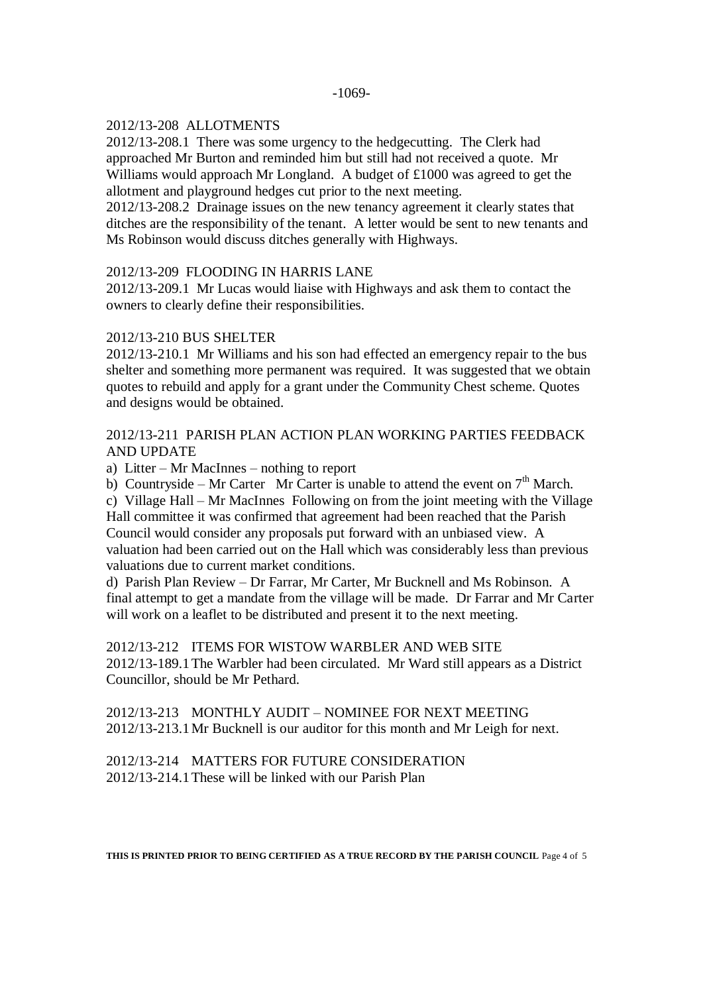# 2012/13-208 ALLOTMENTS

2012/13-208.1 There was some urgency to the hedgecutting. The Clerk had approached Mr Burton and reminded him but still had not received a quote. Mr Williams would approach Mr Longland. A budget of £1000 was agreed to get the allotment and playground hedges cut prior to the next meeting.

2012/13-208.2 Drainage issues on the new tenancy agreement it clearly states that ditches are the responsibility of the tenant. A letter would be sent to new tenants and Ms Robinson would discuss ditches generally with Highways.

#### 2012/13-209 FLOODING IN HARRIS LANE

2012/13-209.1 Mr Lucas would liaise with Highways and ask them to contact the owners to clearly define their responsibilities.

## 2012/13-210 BUS SHELTER

2012/13-210.1 Mr Williams and his son had effected an emergency repair to the bus shelter and something more permanent was required. It was suggested that we obtain quotes to rebuild and apply for a grant under the Community Chest scheme. Quotes and designs would be obtained.

# 2012/13-211 PARISH PLAN ACTION PLAN WORKING PARTIES FEEDBACK AND UPDATE

a) Litter – Mr MacInnes – nothing to report

b) Countryside – Mr Carter Mr Carter is unable to attend the event on  $7<sup>th</sup>$  March.

c) Village Hall – Mr MacInnes Following on from the joint meeting with the Village Hall committee it was confirmed that agreement had been reached that the Parish Council would consider any proposals put forward with an unbiased view. A valuation had been carried out on the Hall which was considerably less than previous valuations due to current market conditions.

d) Parish Plan Review – Dr Farrar, Mr Carter, Mr Bucknell and Ms Robinson. A final attempt to get a mandate from the village will be made. Dr Farrar and Mr Carter will work on a leaflet to be distributed and present it to the next meeting.

#### 2012/13-212 ITEMS FOR WISTOW WARBLER AND WEB SITE

2012/13-189.1The Warbler had been circulated. Mr Ward still appears as a District Councillor, should be Mr Pethard.

2012/13-213 MONTHLY AUDIT – NOMINEE FOR NEXT MEETING 2012/13-213.1Mr Bucknell is our auditor for this month and Mr Leigh for next.

2012/13-214 MATTERS FOR FUTURE CONSIDERATION 2012/13-214.1These will be linked with our Parish Plan

**THIS IS PRINTED PRIOR TO BEING CERTIFIED AS A TRUE RECORD BY THE PARISH COUNCIL** Page 4 of 5